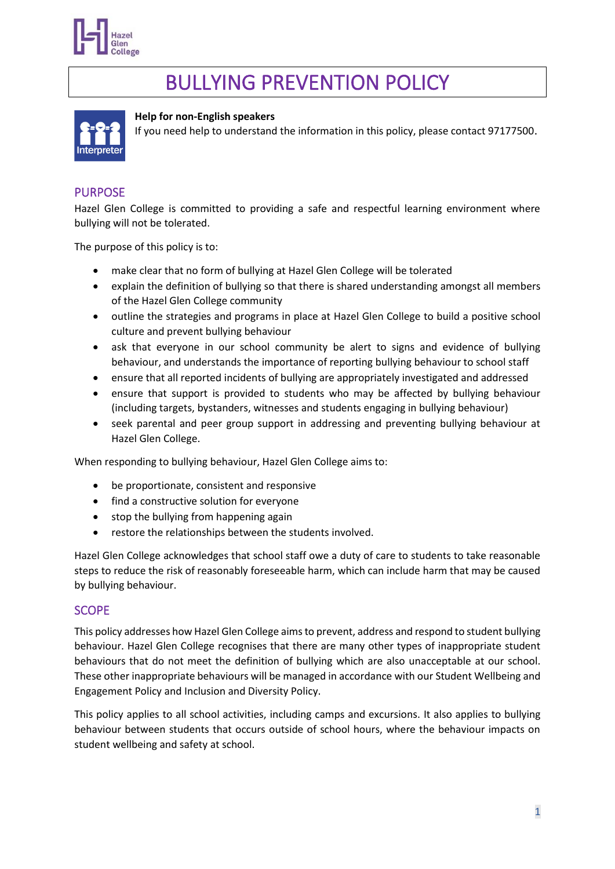

# BULLYING PREVENTION POLICY



#### **Help for non-English speakers**

If you need help to understand the information in this policy, please contact 97177500.

#### PURPOSE

Hazel Glen College is committed to providing a safe and respectful learning environment where bullying will not be tolerated.

The purpose of this policy is to:

- make clear that no form of bullying at Hazel Glen College will be tolerated
- explain the definition of bullying so that there is shared understanding amongst all members of the Hazel Glen College community
- outline the strategies and programs in place at Hazel Glen College to build a positive school culture and prevent bullying behaviour
- ask that everyone in our school community be alert to signs and evidence of bullying behaviour, and understands the importance of reporting bullying behaviour to school staff
- ensure that all reported incidents of bullying are appropriately investigated and addressed
- ensure that support is provided to students who may be affected by bullying behaviour (including targets, bystanders, witnesses and students engaging in bullying behaviour)
- seek parental and peer group support in addressing and preventing bullying behaviour at Hazel Glen College.

When responding to bullying behaviour, Hazel Glen College aims to:

- be proportionate, consistent and responsive
- find a constructive solution for everyone
- stop the bullying from happening again
- restore the relationships between the students involved.

Hazel Glen College acknowledges that school staff owe a duty of care to students to take reasonable steps to reduce the risk of reasonably foreseeable harm, which can include harm that may be caused by bullying behaviour.

#### **SCOPE**

This policy addresses how Hazel Glen College aims to prevent, address and respond to student bullying behaviour. Hazel Glen College recognises that there are many other types of inappropriate student behaviours that do not meet the definition of bullying which are also unacceptable at our school. These other inappropriate behaviours will be managed in accordance with our Student Wellbeing and Engagement Policy and Inclusion and Diversity Policy.

This policy applies to all school activities, including camps and excursions. It also applies to bullying behaviour between students that occurs outside of school hours, where the behaviour impacts on student wellbeing and safety at school.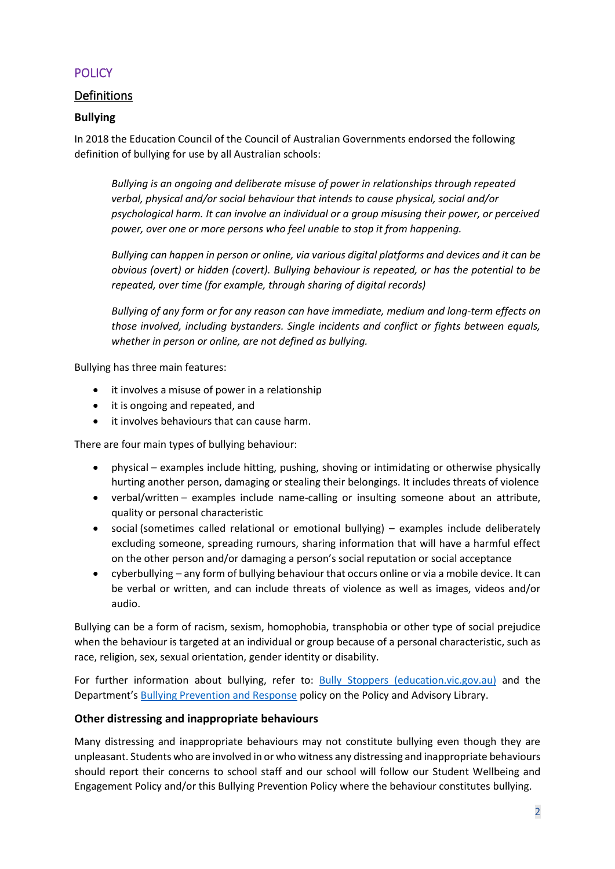## **POLICY**

## Definitions

#### **Bullying**

In 2018 the Education Council of the Council of Australian Governments endorsed the following definition of bullying for use by all Australian schools:

*Bullying is an ongoing and deliberate misuse of power in relationships through repeated verbal, physical and/or social behaviour that intends to cause physical, social and/or psychological harm. It can involve an individual or a group misusing their power, or perceived power, over one or more persons who feel unable to stop it from happening.*

*Bullying can happen in person or online, via various digital platforms and devices and it can be obvious (overt) or hidden (covert). Bullying behaviour is repeated, or has the potential to be repeated, over time (for example, through sharing of digital records)*

*Bullying of any form or for any reason can have immediate, medium and long-term effects on those involved, including bystanders. Single incidents and conflict or fights between equals, whether in person or online, are not defined as bullying.*

Bullying has three main features:

- it involves a misuse of power in a relationship
- it is ongoing and repeated, and
- it involves behaviours that can cause harm.

There are four main types of bullying behaviour:

- physical examples include hitting, pushing, shoving or intimidating or otherwise physically hurting another person, damaging or stealing their belongings. It includes threats of violence
- verbal/written examples include name-calling or insulting someone about an attribute, quality or personal characteristic
- social (sometimes called relational or emotional bullying) examples include deliberately excluding someone, spreading rumours, sharing information that will have a harmful effect on the other person and/or damaging a person's social reputation or social acceptance
- cyberbullying any form of bullying behaviour that occurs online or via a mobile device. It can be verbal or written, and can include threats of violence as well as images, videos and/or audio.

Bullying can be a form of racism, sexism, homophobia, transphobia or other type of social prejudice when the behaviour is targeted at an individual or group because of a personal characteristic, such as race, religion, sex, sexual orientation, gender identity or disability.

For further information about bullying, refer to: [Bully Stoppers \(education.vic.gov.au\)](https://www.education.vic.gov.au/about/programs/bullystoppers/Pages/default.aspx) and the Department's **[Bullying Prevention and Response](https://www2.education.vic.gov.au/pal/bullying-prevention-response/policy) policy on the Policy and Advisory Library.** 

#### **Other distressing and inappropriate behaviours**

Many distressing and inappropriate behaviours may not constitute bullying even though they are unpleasant. Students who are involved in or who witness any distressing and inappropriate behaviours should report their concerns to school staff and our school will follow our Student Wellbeing and Engagement Policy and/or this Bullying Prevention Policy where the behaviour constitutes bullying.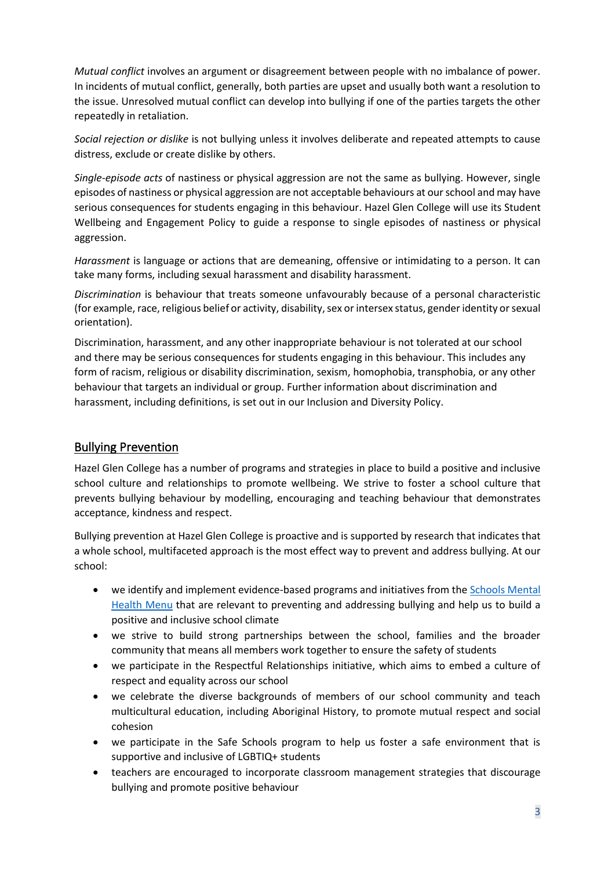*Mutual conflict* involves an argument or disagreement between people with no imbalance of power. In incidents of mutual conflict, generally, both parties are upset and usually both want a resolution to the issue. Unresolved mutual conflict can develop into bullying if one of the parties targets the other repeatedly in retaliation.

*Social rejection or dislike* is not bullying unless it involves deliberate and repeated attempts to cause distress, exclude or create dislike by others.

*Single-episode acts* of nastiness or physical aggression are not the same as bullying. However, single episodes of nastiness or physical aggression are not acceptable behaviours at our school and may have serious consequences for students engaging in this behaviour. Hazel Glen College will use its Student Wellbeing and Engagement Policy to guide a response to single episodes of nastiness or physical aggression.

*Harassment* is language or actions that are demeaning, offensive or intimidating to a person. It can take many forms, including sexual harassment and disability harassment.

*Discrimination* is behaviour that treats someone unfavourably because of a personal characteristic (for example, race, religious belief or activity, disability, sex or intersex status, gender identity or sexual orientation).

Discrimination, harassment, and any other inappropriate behaviour is not tolerated at our school and there may be serious consequences for students engaging in this behaviour. This includes any form of racism, religious or disability discrimination, sexism, homophobia, transphobia, or any other behaviour that targets an individual or group. Further information about discrimination and harassment, including definitions, is set out in our Inclusion and Diversity Policy.

### Bullying Prevention

Hazel Glen College has a number of programs and strategies in place to build a positive and inclusive school culture and relationships to promote wellbeing. We strive to foster a school culture that prevents bullying behaviour by modelling, encouraging and teaching behaviour that demonstrates acceptance, kindness and respect.

Bullying prevention at Hazel Glen College is proactive and is supported by research that indicates that a whole school, multifaceted approach is the most effect way to prevent and address bullying. At our school:

- we identify and implement evidence-based programs and initiatives from the [Schools Mental](https://www.education.vic.gov.au/school/teachers/health/mentalhealth/mental-health-menu/Pages/Menu.aspx?Redirect=1)  [Health Menu](https://www.education.vic.gov.au/school/teachers/health/mentalhealth/mental-health-menu/Pages/Menu.aspx?Redirect=1) that are relevant to preventing and addressing bullying and help us to build a positive and inclusive school climate
- we strive to build strong partnerships between the school, families and the broader community that means all members work together to ensure the safety of students
- we participate in the Respectful Relationships initiative, which aims to embed a culture of respect and equality across our school
- we celebrate the diverse backgrounds of members of our school community and teach multicultural education, including Aboriginal History, to promote mutual respect and social cohesion
- we participate in the Safe Schools program to help us foster a safe environment that is supportive and inclusive of LGBTIQ+ students
- teachers are encouraged to incorporate classroom management strategies that discourage bullying and promote positive behaviour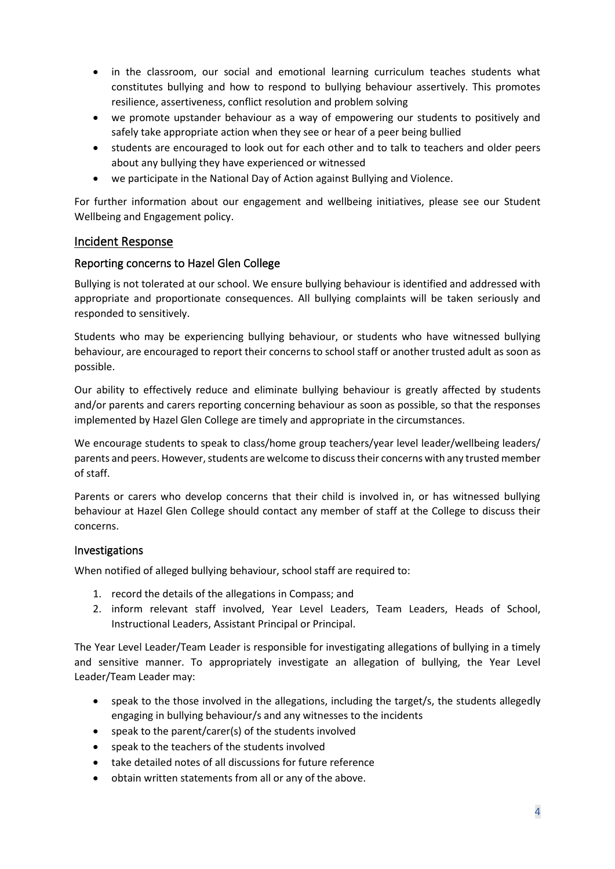- in the classroom, our social and emotional learning curriculum teaches students what constitutes bullying and how to respond to bullying behaviour assertively. This promotes resilience, assertiveness, conflict resolution and problem solving
- we promote upstander behaviour as a way of empowering our students to positively and safely take appropriate action when they see or hear of a peer being bullied
- students are encouraged to look out for each other and to talk to teachers and older peers about any bullying they have experienced or witnessed
- we participate in the National Day of Action against Bullying and Violence.

For further information about our engagement and wellbeing initiatives, please see our Student Wellbeing and Engagement policy.

#### Incident Response

#### Reporting concerns to Hazel Glen College

Bullying is not tolerated at our school. We ensure bullying behaviour is identified and addressed with appropriate and proportionate consequences. All bullying complaints will be taken seriously and responded to sensitively.

Students who may be experiencing bullying behaviour, or students who have witnessed bullying behaviour, are encouraged to report their concerns to school staff or another trusted adult as soon as possible.

Our ability to effectively reduce and eliminate bullying behaviour is greatly affected by students and/or parents and carers reporting concerning behaviour as soon as possible, so that the responses implemented by Hazel Glen College are timely and appropriate in the circumstances.

We encourage students to speak to class/home group teachers/year level leader/wellbeing leaders/ parents and peers. However, students are welcome to discuss their concerns with any trusted member of staff.

Parents or carers who develop concerns that their child is involved in, or has witnessed bullying behaviour at Hazel Glen College should contact any member of staff at the College to discuss their concerns.

#### Investigations

When notified of alleged bullying behaviour, school staff are required to:

- 1. record the details of the allegations in Compass; and
- 2. inform relevant staff involved, Year Level Leaders, Team Leaders, Heads of School, Instructional Leaders, Assistant Principal or Principal.

The Year Level Leader/Team Leader is responsible for investigating allegations of bullying in a timely and sensitive manner. To appropriately investigate an allegation of bullying, the Year Level Leader/Team Leader may:

- speak to the those involved in the allegations, including the target/s, the students allegedly engaging in bullying behaviour/s and any witnesses to the incidents
- speak to the parent/carer(s) of the students involved
- speak to the teachers of the students involved
- take detailed notes of all discussions for future reference
- obtain written statements from all or any of the above.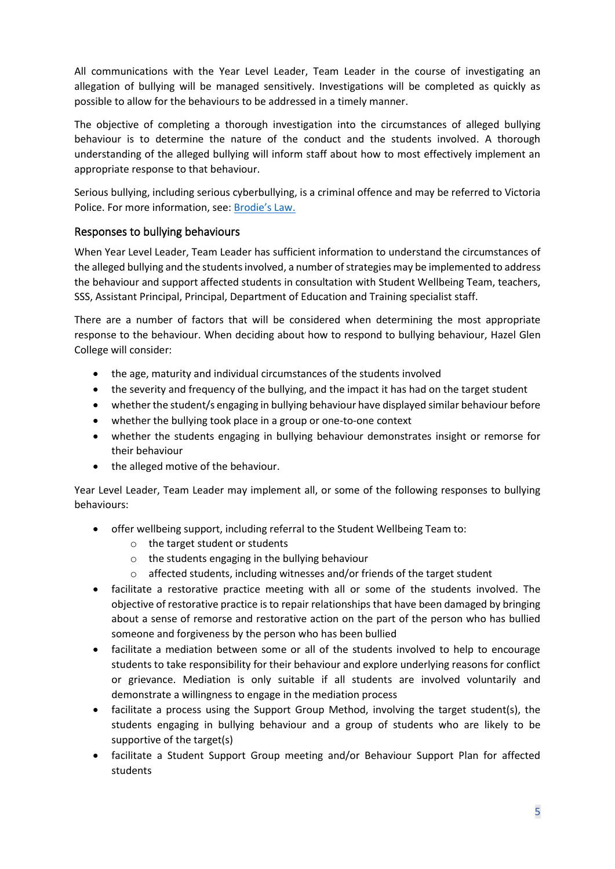All communications with the Year Level Leader, Team Leader in the course of investigating an allegation of bullying will be managed sensitively. Investigations will be completed as quickly as possible to allow for the behaviours to be addressed in a timely manner.

The objective of completing a thorough investigation into the circumstances of alleged bullying behaviour is to determine the nature of the conduct and the students involved. A thorough understanding of the alleged bullying will inform staff about how to most effectively implement an appropriate response to that behaviour.

Serious bullying, including serious cyberbullying, is a criminal offence and may be referred to Victoria Police. For more information, see: [Brodie's Law.](http://www.education.vic.gov.au/about/programs/bullystoppers/Pages/advicesheetbrodieslaw.aspx)

### Responses to bullying behaviours

When Year Level Leader, Team Leader has sufficient information to understand the circumstances of the alleged bullying and the students involved, a number of strategies may be implemented to address the behaviour and support affected students in consultation with Student Wellbeing Team, teachers, SSS, Assistant Principal, Principal, Department of Education and Training specialist staff.

There are a number of factors that will be considered when determining the most appropriate response to the behaviour. When deciding about how to respond to bullying behaviour, Hazel Glen College will consider:

- the age, maturity and individual circumstances of the students involved
- the severity and frequency of the bullying, and the impact it has had on the target student
- whether the student/s engaging in bullying behaviour have displayed similar behaviour before
- whether the bullying took place in a group or one-to-one context
- whether the students engaging in bullying behaviour demonstrates insight or remorse for their behaviour
- the alleged motive of the behaviour.

Year Level Leader, Team Leader may implement all, or some of the following responses to bullying behaviours:

- offer wellbeing support, including referral to the Student Wellbeing Team to:
	- o the target student or students
	- o the students engaging in the bullying behaviour
	- o affected students, including witnesses and/or friends of the target student
- facilitate a restorative practice meeting with all or some of the students involved. The objective of restorative practice is to repair relationships that have been damaged by bringing about a sense of remorse and restorative action on the part of the person who has bullied someone and forgiveness by the person who has been bullied
- facilitate a mediation between some or all of the students involved to help to encourage students to take responsibility for their behaviour and explore underlying reasons for conflict or grievance. Mediation is only suitable if all students are involved voluntarily and demonstrate a willingness to engage in the mediation process
- facilitate a process using the Support Group Method, involving the target student(s), the students engaging in bullying behaviour and a group of students who are likely to be supportive of the target(s)
- facilitate a Student Support Group meeting and/or Behaviour Support Plan for affected students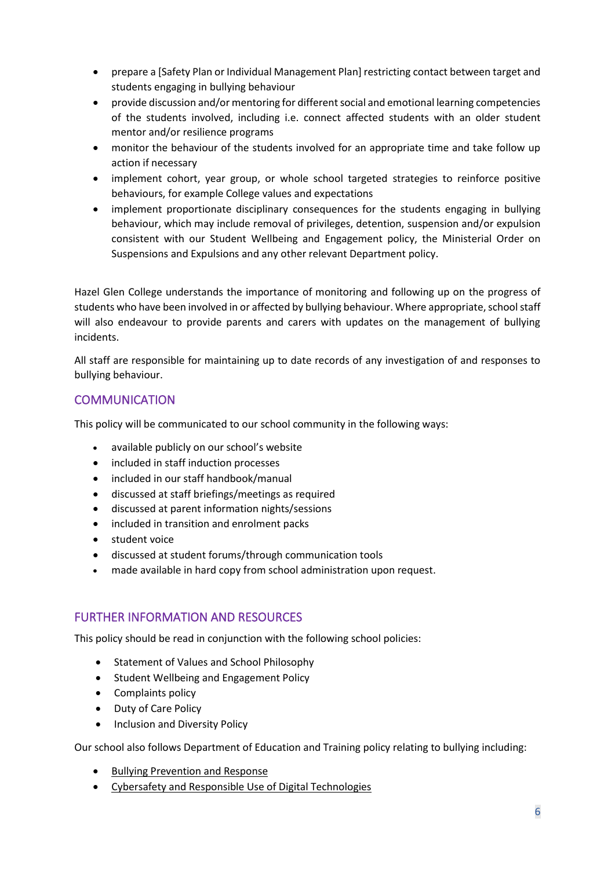- prepare a [Safety Plan or Individual Management Plan] restricting contact between target and students engaging in bullying behaviour
- provide discussion and/or mentoring for different social and emotional learning competencies of the students involved, including i.e. connect affected students with an older student mentor and/or resilience programs
- monitor the behaviour of the students involved for an appropriate time and take follow up action if necessary
- implement cohort, year group, or whole school targeted strategies to reinforce positive behaviours, for example College values and expectations
- implement proportionate disciplinary consequences for the students engaging in bullying behaviour, which may include removal of privileges, detention, suspension and/or expulsion consistent with our Student Wellbeing and Engagement policy, the Ministerial Order on Suspensions and Expulsions and any other relevant Department policy.

Hazel Glen College understands the importance of monitoring and following up on the progress of students who have been involved in or affected by bullying behaviour. Where appropriate, school staff will also endeavour to provide parents and carers with updates on the management of bullying incidents.

All staff are responsible for maintaining up to date records of any investigation of and responses to bullying behaviour.

## **COMMUNICATION**

This policy will be communicated to our school community in the following ways:

- available publicly on our school's website
- included in staff induction processes
- included in our staff handbook/manual
- discussed at staff briefings/meetings as required
- discussed at parent information nights/sessions
- included in transition and enrolment packs
- student voice
- discussed at student forums/through communication tools
- made available in hard copy from school administration upon request.

#### FURTHER INFORMATION AND RESOURCES

This policy should be read in conjunction with the following school policies:

- Statement of Values and School Philosophy
- Student Wellbeing and Engagement Policy
- Complaints policy
- Duty of Care Policy
- Inclusion and Diversity Policy

Our school also follows Department of Education and Training policy relating to bullying including:

- [Bullying Prevention and Response](https://www2.education.vic.gov.au/pal/bullying-prevention-response/policy)
- [Cybersafety and Responsible Use of Digital Technologies](https://www2.education.vic.gov.au/pal/cybersafety/policy)